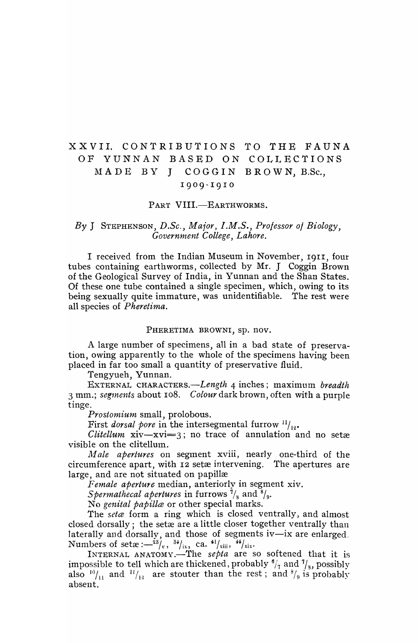# XXVII. CONTRIBUTIONS TO THE FAUNA OF YUNNAN BASED ON COLLECTIONS MADE BY J COGGIN BROWN, B.Sc., 19 <sup>0</sup> 9- <sup>1</sup> <sup>9</sup> 10

## PART VIII.-EARTHWORMS.

# *By* J STEPHENSON, *D.Se., Maior, I.M.S., Professor 0/ Biology,*   $Government College, Lahore.$

I received from the Indian Museum in November, 19I1, four tubes containing earthworms, collected by Mr. J Coggin Brown of the Geological Survey of India, in Yunnan and the Shan States. Of these one tube contained a single specimen, which, owing to its being sexually quite immature, was unidentifiable. The rest were all species of *Pheretima.* 

#### PHERETIMA BROWNI, sp. nov.

A large number of specimens, all in a bad state of preservation, owing apparently to the whole of the specimens having been placed in far too small a quantity of preservative fluid.

Tengyueh, Yunnan.

EXTERNAL *CHARACTERS.-Length* 4 inches; maximum *breadth*  3 mm.; *seg1nents* about 108. *Colour* dark brown, often with a purple tinge.

*Prostomium* small, prolobous.

First *dorsal pore* in the intersegmental furrow  $\frac{11}{12}$ .<br>*Clitellum* xiv—xvi=3; no trace of annulation and no setæ visible on the clitellum.

*Male apertures* on segment xviii, nearly one-third of the circumference apart, with 12 setæ intervening. The apertures are large, and are not situated on papillæ

Female aperture median, anteriorly in segment xiv.

*Spermathecal apertures* in furrows  $\frac{7}{8}$  and  $\frac{8}{9}$ .

No *genital papilla* or other special marks.

The *seta* form a ring which is closed ventrally, and almost closed dorsally; the setæ are a little closer together ventrally than laterally and dorsally, and those of segments iv-ix are enlarged. Numbers of setæ:— $^{23}/_x$ ,  $^{34}/_{ix}$ , ca.  $^{41}/_{xiii}$ ,  $^{44}/_{xix}$ .

INTERNAL ANATOMY.-The *septa* are so softened that it is impossible to tell which are thickened, probably  $\frac{6}{7}$  and  $\frac{7}{8}$ , possibly also  $\frac{10}{11}$  and  $\frac{11}{12}$  are stouter than the rest; and  $\frac{8}{9}$  is probably absent.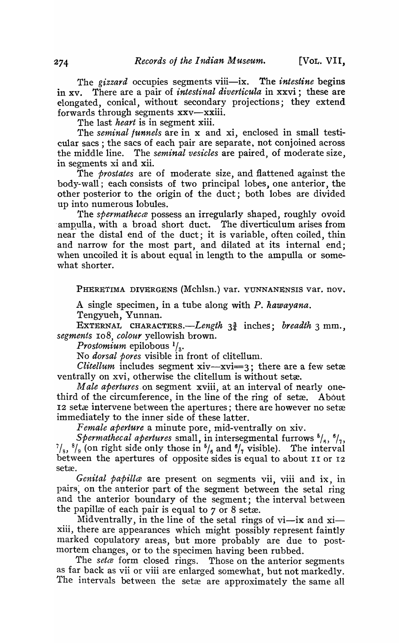The *gizzard* occupies segments viii—ix. The *intestine* begins in xv. There are a pair of *intestinal diverticula* in xxvi; these are elongated, conical, without secondary projections; they extend forwards through segments xxv-xxiii.

The last *heart* is in segment xiii.

The *seminal funnels* are in x and xi, enclosed in small testicular sacs; the sacs of each pair are separate, not conjoined across the middle line. The *seminal vesicles* are paired, of moderate size, in segments xi and xii.

The *prostates* are of moderate size, and flattened against the body-wall; each consists of two principal lobes, one anterior, the other posterior to the origin of the duct; both lobes are divided up into numerous lobules.

The *spermathecce* possess an irregularly shaped, roughly ovoid ampulla, with a broad short duct. The diverticulum arises from near the distal end of the duct; it is variable, often coiled, thin and narrow for the most part, and dilated at its internal end; when uncoiled it is about equal in length to the ampulla or somewhat shorter.

PHERETIMA DIVERGENS (Mchlsn.) var. YUNNANENSIS var. nov.

A single specimen, in a tube along with *P. hawayana.*  Tengyueh, Yunnan.

EXTERNAL *CHARACTERs.-Length* 31 inches; *breadth* 3 mm., *segments* 10 8, *colour* yellowish brown.

*Prostomium* epilobous  $\frac{1}{3}$ .<br>No *dorsal pores* visible in front of clitellum.

*Clitellum* includes segment  $xiv - xvi = 3$ ; there are a few setæ ventrally on xvi, otherwise the clitellum is without setæ.

*Male apertures* on segment xviii, at an interval of nearly onethird of the circumference, in the line of the ring of setæ. About 12 set a intervene between the apertures; there are however no setæ immediately to the inner side of these latter.

*Female aperture* a minute pore, mid-ventrally on xiv.

*Spermathecal apertures* small, in intersegmental furrows  $^{5}/_6$ ,  $^{6}/_7$ ,  $^{7}/_{8}$ ,  $^{8}/_{9}$  (on right side only those in  $^{5}/_{6}$  and  $^{6}/_{7}$  visible). The interval between the apertures of opposite sides is equal to about II or I2 setæ.

*Genital papilla* are present on segments vii, viii and ix, in pairs, on the anterior part of the segment between the setal ring and the anterior boundary of the segment; the interval between the papillæ of each pair is equal to  $7$  or  $8$  setæ.

Midventrally, in the line of the setal rings of vi-ix and  $xi$ xiii, there are appearances which might possibly represent faintly marked copulatory areas, but more probably are due to postmortem changes, or to the specimen having been rubbed.

The *seta* form closed rings. Those on the anterior segments as far back as vii or viii are enlarged somewhat, but not markedly. The intervals between the setæ are approximately the same all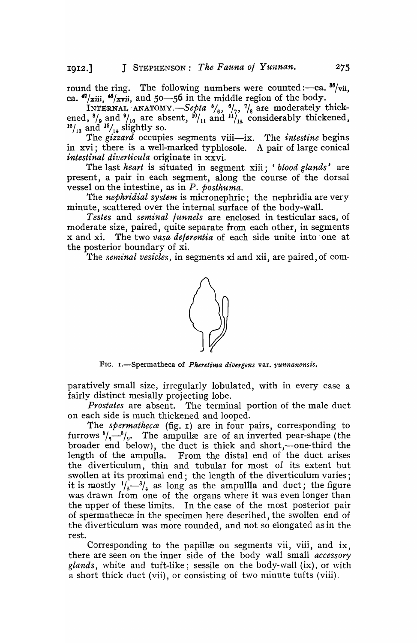round the ring. The following numbers were counted :- ca.  $\frac{86}{\text{vii}}$ , ca.  $\frac{47}{x}$ iii,  $\frac{48}{x}$ vii, and 50-56 in the middle region of the body.

INTERNAL ANATOMY.  $-$  Septa  $^{6}/_{6}$ ,  $^{6}/_{7}$ ,  $^{7}/_{8}$  are moderately thickened,  $\frac{8}{9}$  and  $\frac{9}{10}$  are absent,  $\frac{10}{11}$  and  $\frac{11}{12}$  considerably thickened,  $12/13$  and  $13/14$  slightly so.

The *gizzard* occupies segments viii—ix. The *intestine* begins in xvi; there is a well-marked typhlosole. A pair of large conical *intestinal diverticula* originate in xxvi.

The last *heart* is situated in segment xiii; *'blood glands'* are present, a pair in each segment, along the course of the dorsal vessel on the intestine, as in *P. posthuma.* 

The *nephridial system* is micronephric; the nephridia are very minute, scattered over the internal surface of the body-wall.

*Testes* and *seminal funnels* are enclosed in testicular sacs, of moderate size, paired, quite separate from each other, in segments x and xi. The two *vasa deferentia* of each side· unite into' one at the posterior boundary of xi.

The *seminal vesicles*, in segments xi and xii, are paired, of com-



FIG. I.-Spermatheca of *Pheretima divergens* var. *yunnanensis.* 

paratively small size, irregularly lobulated, with in every case a fairly distinct mesially projecting lobe.

*Prostates* are absent. The terminal portion of the male duct on each side is much thickened and looped.

The *spermatheca* (fig. 1) are in four pairs, corresponding to furrows  $\frac{6}{6}$ - $\frac{8}{9}$ . The ampullæ are of an inverted pear-shape (the broader end below), the duct is thick and short,--one-third the length of the ampulla. From the distal end of the duct arises the diverticulum, thin and tubular for most of its extent but swollen at its proximal end; the length of the diverticulum varies; it is mostly  $1/2^{3/4}$  as long as the ampulla and duct; the figure was drawn from one of the organs where it was even longer than the upper of these limits. In the case of the most posterior pair of spermathecæ in the specimen here described, the swollen end of the diverticulum was more rounded, and not so elongated as in the rest.

Corresponding to the papillæ on segments vii, viii, and ix, there are seen on the inner side of the body wall small *accessory glands*, white and tuft-like; sessile on the body-wall (ix), or with a short thick duct (vii), or consisting of two minute tufts (viii).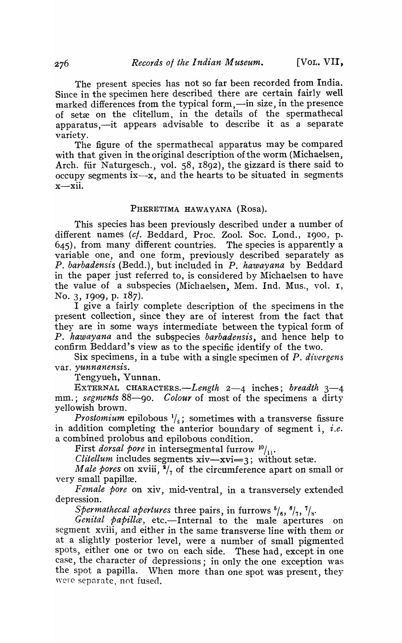The present species has not so far been recorded from India. Since in the specimen here described there are certain fairly well marked differences from the typical form,—in size, in the presence of setæ on the clitellum, in the details of the spermathecal apparatus,-it appears advisable to describe it as a separate variety.

The figure of the spermathecal apparatus may be compared with that given in the original description of the worm (Michaelsen, Arch. fiir Naturgesch., vol. 58, 1892), the gizzard is there said to occupy segments  $ix-x$ , and the hearts to be situated in segments  $x$ -xii.

## PHERETIMA HAWAYANA (Rosa).

This species has been previously described under a number of different names (cf. Beddard, Proc. Zool. Soc. Lond., 1900, p. 645), from many different countries. The species is apparently a variable one, and one form, previously described separately as *P. barbadensis* (Bedd.), but included in P. *hawayana* by Beddard in the paper just referred to, is considered by Michaelsen to have the value of a subspecies (Michaelsen, Mem. Ind. Mus., vol. I, No. 3, 1909, p. 187).

I give a fairly complete description of the specimens in the present collection, since they are of interest from the fact that they are in some ways intermediate between the typical form of P. hawayana and the subspecies *barbadensis*, and hence help to confirm Beddard's view as to the specific identify of the two.

Six specimens, in a tube with a single specimen of P. *divergens* var. yunnanensis.

Tengyueh, Yunnan.

EXTERNAL *CHARACTERs.-Length* 2-4 inches; *breadth 3-4*  mm.; *segments* 88-90. *Colour* of most of the specimens a dirty yellowish brown.

*Prostomium* epilobous  $\frac{1}{2}$ ; sometimes with a transverse fissure in addition completing the anterior boundary of segment i, *i.e.*  a combined prolobus and epilobous condition.

First *dorsal pore* in intersegmental furrow  $10/11$ .

*Clitellum* includes segments  $xiv - xvi = 3$ ; without setæ.

*Male pores* on xviii,  $\frac{1}{7}$  of the circumference apart on small or very small papillæ.

*Female pore* on xiv, mid-ventral, in a transversely extended depression.

*Spermathecal apertures* three pairs, in furrows  $^{6}/_{6}$ ,  $^{6}/_{7}$ ,  $^{7}/_{8}$ .<br>*Genital papillæ*, etc.—Internal to the male apertures on segment xviii, and either in the same transverse line with them or at a slightly posterior level, were a number of small pigmented spots, either one or two on each side. These had, except in one case, the character of depressions; in only the one exception was the spot a papilla. When more than one spot was present, they were separate, not fused.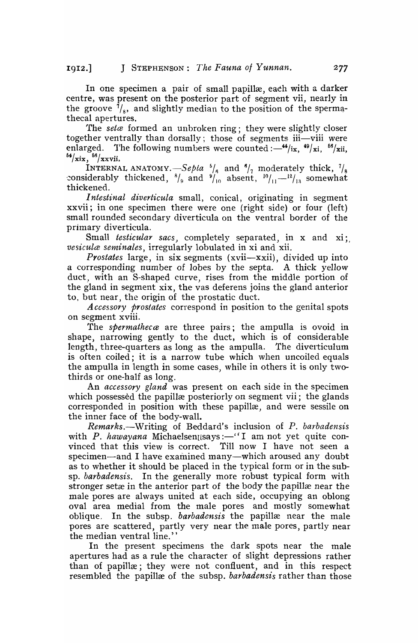In one specimen a pair of small papillæ, each with a darker centre, was present on the posterior part of segment vii, nearly in the groove  $\bar{\gamma}_{s}$ , and slightly median to the position of the spermathecal apertures.

The *seta* formed an unbroken ring; they were slightly closer together ventrally than dorsally; those of segments iii—viii were enlarged. The following numbers were counted : $-$ <sup>44</sup>/ix, <sup>49</sup>/xi, <sup>56</sup>/xii,  $\frac{12}{10}$  ...

INTERNAL ANATOMY.  $-$ *Sepia*  $^{5}/_6$  and  $^{6}/_7$  moderately thick,  $^{7}/_8$ considerably thickened,  $\frac{8}{9}$  and  $\frac{9}{10}$  absent,  $\frac{10}{11}-\frac{12}{13}$  somewhat thickened.

*Intestinal diverticula* small, conical, originating in segment xxvii; in one specimen there were one (right side) or four (left) small rounded secondary diverticula on the ventral border of the primary diverticula.

Small *testicular* sacs, completely separated, in x and xi; *vesiculce seminales,* irregularly lobulated in xi and xii.

*Prostates* large, in six segments (xvii-xxii), divided up into a corresponding number of lobes by the septa. A thick yellow duct) with an S-shaped curve, rises from the middle portion of the gland in segment xix, the vas deferens joins the gland anterior to, but near, the origin of the prostatic duct.

A *ccessory prostates* correspond in position to the genital spots on segment xviii.

The *spermatheca* are three pairs; the ampulla is ovoid in shape, narrowing gently to the duct, which is of considerable length, three-quarters as long as the ampulla. The diverticulum is often coiled; it is a narrow tube which when uncoiled equals the ampulla in length in some cases, while in others it is only twothirds or one-half as long.

An *accessory gland* was present on each side in the specimen which possessed the papillæ posteriorly on segment vii; the glands corresponded in position with these papillæ, and were sessile on the inner face of the body-wall.

*Remarks.-Writing* of Beddard's inclusion of *P. barbadensis*  with *P. hawayana* Michaelsen<sub>l</sub>says:-''I am not yet quite convinced that this view is correct. Till now I have not seen a specimen—and I have examined many—which aroused any doubt as to whether it should be placed in the typical form or in the subsp. *barbadensis.* In the generally more robust typical form with stronger setæ in the anterior part of the body the papillæ near the male pores are always united at each side, occupying an oblong oval area medial from the male pores and mostly somewhat oblique. In the subsp. *barbadensis* the papillæ near the male pores are scattered, partly very near the male pores, partly near the median ventral line."

In the present specimens the dark spots near the male apertures had as a rule the character of slight depressions rather than of papillæ; they were not confluent, and in this respect resembled the papillæ of the subsp. *barbadensis* rather than those